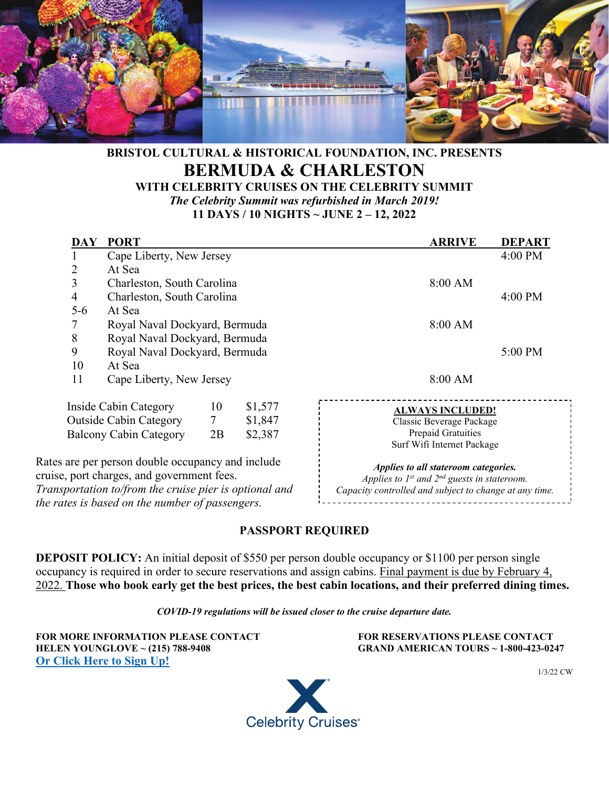

# **BRISTOL CULTURAL & HISTORICAL FOUNDATION, INC. PRESENTS BERMUDA & CHARLESTON**

**WITH CELEBRITY CRUISES ON THE CELEBRITY SUMMIT** *The Celebrity Summit was refurbished in March 2019!*  **11 DAYS / 10 NIGHTS ~ JUNE 2 – 12, 2022** 

| DAY     | <b>PORT</b>                                                                                     |  |         | <b>ARRIVE</b>                                                                                 | <b>DEPART</b> |
|---------|-------------------------------------------------------------------------------------------------|--|---------|-----------------------------------------------------------------------------------------------|---------------|
|         | Cape Liberty, New Jersey                                                                        |  |         |                                                                                               | 4:00 PM       |
| 2       | At Sea                                                                                          |  |         |                                                                                               |               |
| 3       | Charleston, South Carolina                                                                      |  |         | 8:00 AM                                                                                       |               |
| 4       | Charleston, South Carolina                                                                      |  |         |                                                                                               | 4:00 PM       |
| $5 - 6$ | At Sea                                                                                          |  |         |                                                                                               |               |
|         | Royal Naval Dockyard, Bermuda                                                                   |  |         | 8:00 AM                                                                                       |               |
| 8       | Royal Naval Dockyard, Bermuda                                                                   |  |         |                                                                                               |               |
| 9       | Royal Naval Dockyard, Bermuda                                                                   |  |         |                                                                                               | 5:00 PM       |
| 10      | At Sea                                                                                          |  |         |                                                                                               |               |
| 11      | Cape Liberty, New Jersey                                                                        |  |         | 8:00 AM                                                                                       |               |
|         | Inside Cabin Category<br>10                                                                     |  | \$1,577 | <b>ALWAYS INCLUDED!</b>                                                                       |               |
|         | <b>Outside Cabin Category</b>                                                                   |  | \$1,847 | Classic Beverage Package                                                                      |               |
|         | <b>Balcony Cabin Category</b><br>2B                                                             |  | \$2,387 | Prepaid Gratuities<br>Surf Wifi Internet Package                                              |               |
|         | Rates are per person double occupancy and include<br>cruise, port charges, and government fees. |  |         | Applies to all stateroom categories.<br>Applies to $I^{st}$ and $2^{nd}$ guests in stateroom. |               |
|         | Transportation to/from the cruise pier is optional and                                          |  |         | Capacity controlled and subject to change at any time.                                        |               |
|         | the rates is based on the number of passengers.                                                 |  |         |                                                                                               |               |

#### **PASSPORT REQUIRED**

**DEPOSIT POLICY:** An initial deposit of \$550 per person double occupancy or \$1100 per person single occupancy is required in order to secure reservations and assign cabins. Final payment is due by February 4, 2022. **Those who book early get the best prices, the best cabin locations, and their preferred dining times.**

*COVID-19 regulations will be issued closer to the cruise departure date.*

**FOR MORE INFORMATION PLEASE CONTACT FOR RESERVATIONS PLEASE CONTACT HELEN YOUNGLOVE ~ (215) 788-9408 GRAND AMERICAN TOURS ~ 1-800-423-0247 [Or Click Here to Sign Up!](https://grandamericantours.com/6-2-22-celeberm-younglove)** 



1/3/22 CW